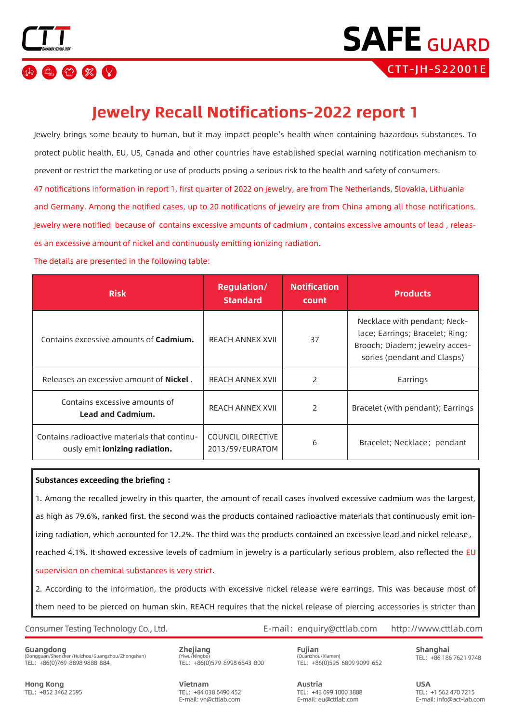



# **Jewelry Recall Notifications-2022 report 1**

Jewelry brings some beauty to human, but it may impact people's health when containing hazardous substances. To protect public health, EU, US, Canada and other countries have established special warning notification mechanism to prevent or restrict the marketing or use of products posing a serious risk to the health and safety of consumers. 47 notifications information in report 1, first quarter of 2022 on jewelry, are from The Netherlands, Slovakia, Lithuania and Germany. Among the notified cases, up to 20 notifications of jewelry are from China among all those notifications. Jewelry were notified because of contains excessive amounts of cadmium , contains excessive amounts of lead , releases an excessive amount of nickel and continuously emitting ionizing radiation.

The details are presented in the following table:

| <b>Risk</b>                                                                    | <b>Regulation/</b><br><b>Standard</b>       | <b>Notification</b><br>count | <b>Products</b>                                                                                                                  |
|--------------------------------------------------------------------------------|---------------------------------------------|------------------------------|----------------------------------------------------------------------------------------------------------------------------------|
| Contains excessive amounts of <b>Cadmium.</b>                                  | <b>REACH ANNEX XVII</b>                     | 37                           | Necklace with pendant; Neck-<br>lace; Earrings; Bracelet; Ring;<br>Brooch; Diadem; jewelry acces-<br>sories (pendant and Clasps) |
| Releases an excessive amount of <b>Nickel</b> .                                | <b>REACH ANNEX XVII</b>                     | 2                            | Earrings                                                                                                                         |
| Contains excessive amounts of<br><b>Lead and Cadmium.</b>                      | <b>REACH ANNEX XVII</b>                     | 2                            | Bracelet (with pendant); Earrings                                                                                                |
| Contains radioactive materials that continu-<br>ously emit ionizing radiation. | <b>COUNCIL DIRECTIVE</b><br>2013/59/EURATOM | 6                            | Bracelet; Necklace; pendant                                                                                                      |

### **Substances exceeding the briefing :**

1. Among the recalled jewelry in this quarter, the amount of recall cases involved excessive cadmium was the largest, as high as 79.6%, ranked first. the second was the products contained radioactive materials that continuously emit ionizing radiation, which accounted for 12.2%. The third was the products contained an excessive lead and nickel release, reached 4.1%. It showed excessive levels of cadmium in jewelry is a particularly serious problem, also reflected the EU supervision on chemical substances is very strict.

2. According to the information, the products with excessive nickel release were earrings. This was because most of them need to be pierced on human skin. REACH requires that the nickel release of piercing accessories is [stricter t](file:///C:/Program%20Files/baidu-translate-client/resources/app.asar/app.html##)han

Consumer Testing Technology Co., Ltd.

Guangdong (Dongguan/Shenzhen/Huizhou/Guangzhou/Zhongshan) TEL: +86(0)769-8898 9888-884

Zhejiang Yiwu/Ningbo TEL: +86(0)579-8998 6543-800

Fujian (Quanzhou/Xiamen) TEL: +86(0)595-6809 9099-652

E-mail: enquiry@cttlab.com

Shanghai TEL: +86 186 7621 9748

http://www.cttlab.com

**Hong Kong** TEL: +852 3462 2595 Vietnam TFL: +84 038 6490 452 E-mail: vn@cttlab.com

Austria TFL: +43 699 1000 3888 E-mail: eu@cttlab.com

**USA** TFI: +1 562 470 7215 E-mail: info@act-lab.com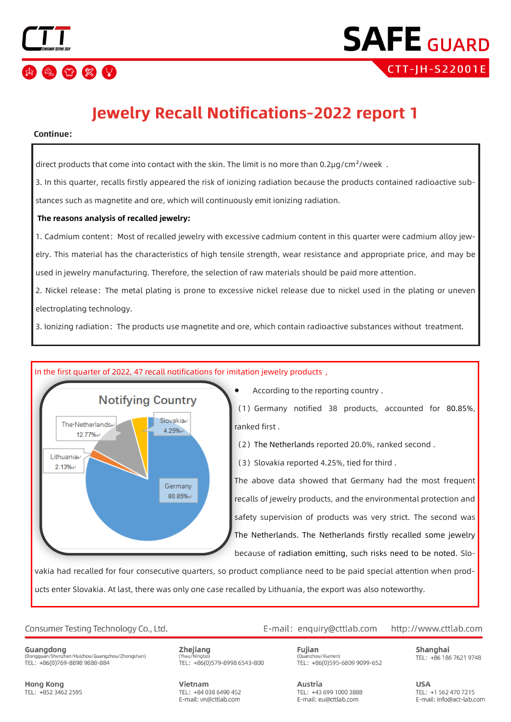

# **Jewelry Recall Notifications-2022 report 1**

## Continue:

direct products that come into contact with the skin. The limit is no more than 0.2µg/cm<sup>2</sup>/week.

3. In this quarter, recalls firstly appeared the risk of ionizing radiation because the products contained radioactive substances such as magnetite and ore, which will continuously emit ionizing radiation.

# **The reasons analysis of recalled jewelry:**

1. Cadmium content: Most of recalled jewelry with excessive cadmium content in this quarter were cadmium alloy jewelry. This material has the characteristics of high tensile strength, wear resistance and appropriate price, and may be used in jewelry manufacturing. Therefore, the selection of raw materials should be paid more attention.

2. Nickel release: The metal plating is prone to excessive nickel release due to nickel used in the plating or uneven electroplating technology.

3. Ionizing radiation: The products use magnetite and ore, which contain radioactive substances without treatment.



# In the first quarter of 2022, 47 recall notifications for imitation jewelry products ,

• According to the reporting country .

(1)Germany notified 38 products, accounted for 80.85%, ranked first .

(2)The Netherlands reported 20.0%, ranked second .

(3) Slovakia reported 4.25%, tied for third.

The above data showed that Germany had the most frequent recalls of jewelry products, and the environmental protection and safety supervision of products was very strict. The second was The Netherlands. The Netherlands firstly recalled some jewelry because of radiation emitting, such risks need to be noted. Slo-

vakia had recalled for four consecutive quarters, so product compliance need to be paid special attention when products enter Slovakia. At last, there was only one case recalled by Lithuania, the export was also noteworthy.

# Consumer Testing Technology Co., Ltd.

Guangdong (Dongguan/Shenzhen/Huizhou/Guangzhou/Zhongshan) TEL: +86(0)769-8898 9888-884

Zhejiang (Yiwu/Ningb TEL: +86(0)579-8998 6543-800

Vietnam TFL: +84 038 6490 452 E-mail: vn@cttlab.com

E-mail: enquiry@cttlab.com

http://www.cttlab.com

Fujian (Quanzhou/Xiamen) TEL: +86(0)595-6809 9099-652

TEL: +43 699 1000 3888

E-mail: eu@cttlab.com

Austria

Shanghai TEL: +86 186 7621 9748

**USA** TFI: +1 562 470 7215 E-mail: info@act-lab.com

Hong Kong TEL: +852 3462 2595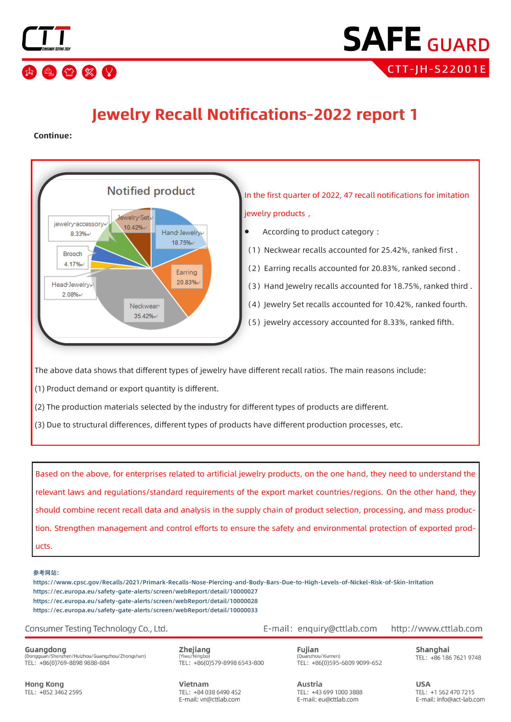



# **Jewelry Recall Notifications-2022 report 1**

Continue:



The above data shows that different types of jewelry have different recall ratios. The main reasons include:

(1) Product demand or export quantity is different.

(2) The production materials selected by the industry for different types of products are different.

(3) Due to structural differences, different types of products have different production processes, etc.

Based on the above, for enterprises related to artificial jewelry products, on the one hand, they need to understand the relevant laws and regulations/standard requirements of the export market countries/regions. On the other hand, they should combine recent recall data and analysis in the supply chain of product selection, processing, and mass production. Strengthen management and control efforts to ensure the safety and environmental protection of exported products.

#### 参考网站:

https://www.cpsc.gov/Recalls/2021/Primark-Recalls-Nose-Piercing-and-Body-Bars-Due-to-High-Levels-of-Nickel-Risk-of-Skin-Irritation https://ec.europa.eu/safety-gate-alerts/screen/webReport/detail/10000027 https://ec.europa.eu/safety-gate-alerts/screen/webReport/detail/10000028 https://ec.europa.eu/safety-gate-alerts/screen/webReport/detail/10000033

Consumer Testing Technology Co., Ltd.

Guangdong (Dongguan/Shenzhen/Huizhou/Guangzhou/Zhongshan) TEL: +86(0)769-8898 9888-884

Zhejiang (Yiwu/Ningb TEL: +86(0)579-8998 6543-800

Vietnam TEL: +84 038 6490 452 E-mail: vn@cttlab.com

E-mail: enquiry@cttlab.com http://www.cttlab.com

> Fujian (Quanzhou/Xiamen) TEL: +86(0)595-6809 9099-652

TEL: +43 699 1000 3888

E-mail: eu@cttlab.com

Austria

Shanghai TEL: +86 186 7621 9748

**USA** TFI: +1 562 470 7215 E-mail: info@act-lab.com

**Hong Kong** TEL: +852 3462 2595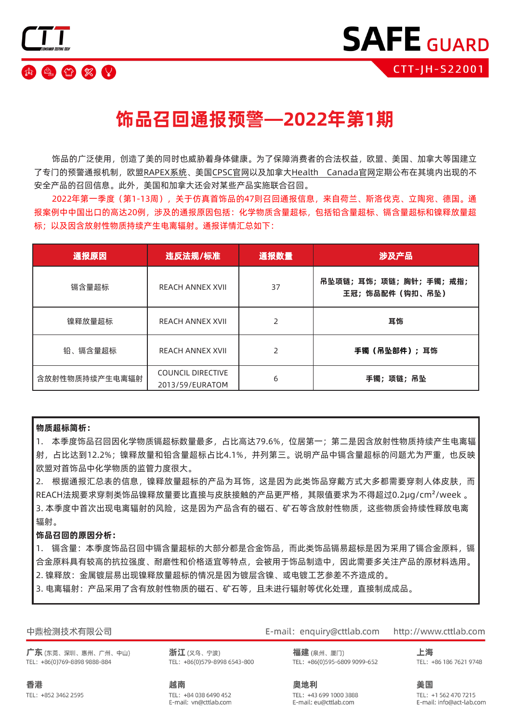

# **饰品召回通报预警—2022年第1期**

饰品的广泛使用,创造了美的同时也威胁着身体健康。为了保障消费者的合法权益,欧盟、美国、加拿大等国建立 了专门的预警通报机制,欧盟RAPEX系统、美国CPSC官网以及加拿大Health Canada官网定期公布在其境内出现的不 安全产品的召回信息。此外,美国和加拿大还会对某些产品实施联合召回。

2022年第一季度(第1-13周),关于仿真首饰品的47则召回通报信息,来自荷兰、斯洛伐克、立陶宛、德国。通 报案例中中国出口的高达20例,涉及的通报原因包括:化学物质含量超标,包括铅含量超标、镉含量超标和镍释放量超 标;以及因含放射性物质持续产生电离辐射。通报详情汇总如下:

| 通报原因           | 违反法规/标准                                     | 通报数量 | 涉及产品                                     |
|----------------|---------------------------------------------|------|------------------------------------------|
| 镉含量超标          | <b>REACH ANNEX XVII</b>                     | 37   | 吊坠项链;耳饰;项链;胸针;手镯;戒指;<br>王冠; 饰品配件 (钩扣、吊坠) |
| 镍释放量超标         | <b>REACH ANNEX XVII</b>                     |      | 耳饰                                       |
| 铅、镉含量超标        | <b>REACH ANNEX XVII</b>                     |      | 手镯 (吊坠部件);耳饰                             |
| 含放射性物质持续产生电离辐射 | <b>COUNCIL DIRECTIVE</b><br>2013/59/EURATOM | 6    | 手镯;项链;吊坠                                 |

### **物质超标简析:**

1. 本季度饰品召回因化学物质镉超标数量最多,占比高达79.6%,位居第一;第二是因含放射性物质持续产生电离辐 射,占比达到12.2%;镍释放量和铅含量超标占比4.1%,并列第三。说明产品中镉含量超标的问题尤为严重,也反映 欧盟对首饰品中化学物质的监管力度很大。

2. 根据通报汇总表的信息,镍释放量超标的产品为耳饰,这是因为此类饰品穿戴方式大多都需要穿刺人体皮肤,而 REACH法规要求穿刺类饰品镍释放量要比直接与皮肤接触的产品更严格,其限值要求为不得超过0.2µg/cm²/week 。 3. 本季度中首次出现电离辐射的风险,这是因为产品含有的磁石、矿石等含放射性物质,这些物质会持续性释放电离 辐射。

## **饰品召回的原因分析:**

1. 镉含量:本季度饰品召回中镉含量超标的大部分都是合金饰品,而此类饰品镉易超标是因为采用了镉合金原料,镉 合金原料具有较高的抗拉强度、耐磨性和价格适宜等特点,会被用于饰品制造中,因此需要多关注产品的原材料选用。 2. 镍释放:金属镀层易出现镍释放量超标的情况是因为镀层含镍、或电镀工艺参差不齐造成的。

3. 电离辐射:产品采用了含有放射性物质的磁石、矿石等,且未进行辐射等优化处理,直接制成成品。

|  | 中鼎检测技术有限公司 |
|--|------------|
|--|------------|

广东(东莞、深圳、惠州、广州、中山) TEL: +86(0)769-8898 9888-884

浙江(义乌、宁波) TEL: +86(0)579-8998 6543-800 E-mail: enquiry@cttlab.com http://www.cttlab.com

> 福建(泉州、厦门) TEL: +86(0)595-6809 9099-652

上海 TEL: +86 186 7621 9748

香港 TEL: +852 3462 2595 越南 TEL: +84 038 6490 452 E-mail: vn@cttlab.com 奥地利 TEL: +43 699 1000 3888 E-mail: eu@cttlab.com

美国

TEL: +1 562 470 7215 E-mail: info@act-lab.com